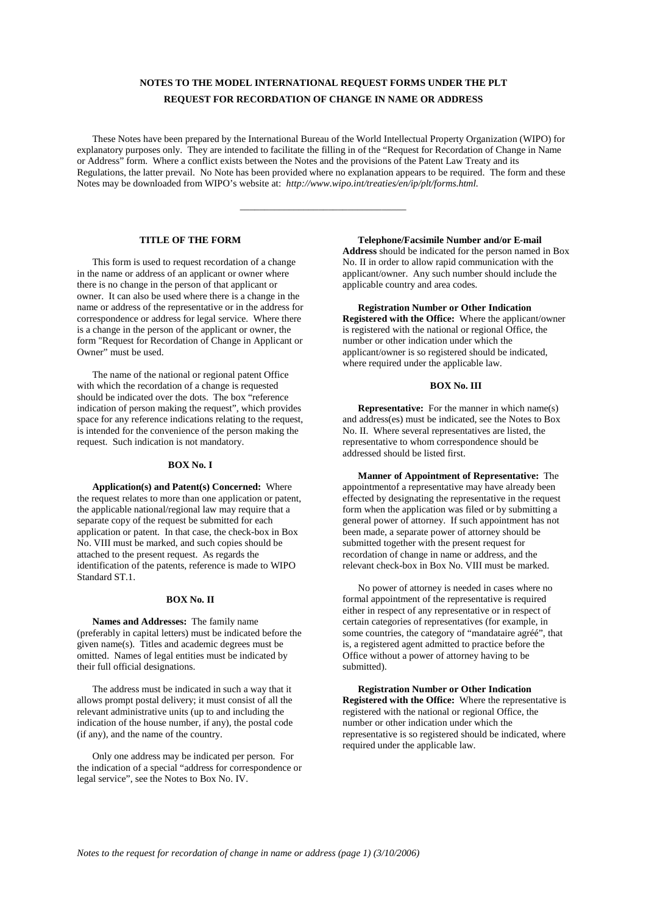# **NOTES TO THE MODEL INTERNATIONAL REQUEST FORMS UNDER THE PLT REQUEST FOR RECORDATION OF CHANGE IN NAME OR ADDRESS**

These Notes have been prepared by the International Bureau of the World Intellectual Property Organization (WIPO) for explanatory purposes only. They are intended to facilitate the filling in of the "Request for Recordation of Change in Name or Address" form. Where a conflict exists between the Notes and the provisions of the Patent Law Treaty and its Regulations, the latter prevail. No Note has been provided where no explanation appears to be required. The form and these Notes may be downloaded from WIPO's website at: *http://www.wipo.int/treaties/en/ip/plt/forms.html.*

\_\_\_\_\_\_\_\_\_\_\_\_\_\_\_\_\_\_\_\_\_\_\_\_\_\_\_\_\_\_\_\_\_\_

# **TITLE OF THE FORM**

This form is used to request recordation of a change in the name or address of an applicant or owner where there is no change in the person of that applicant or owner. It can also be used where there is a change in the name or address of the representative or in the address for correspondence or address for legal service. Where there is a change in the person of the applicant or owner, the form "Request for Recordation of Change in Applicant or Owner" must be used.

The name of the national or regional patent Office with which the recordation of a change is requested should be indicated over the dots. The box "reference indication of person making the request", which provides space for any reference indications relating to the request, is intended for the convenience of the person making the request. Such indication is not mandatory.

#### **BOX No. I**

**Application(s) and Patent(s) Concerned:** Where the request relates to more than one application or patent, the applicable national/regional law may require that a separate copy of the request be submitted for each application or patent. In that case, the check-box in Box No. VIII must be marked, and such copies should be attached to the present request. As regards the identification of the patents, reference is made to WIPO Standard ST.1.

### **BOX No. II**

**Names and Addresses:** The family name (preferably in capital letters) must be indicated before the given name(s). Titles and academic degrees must be omitted. Names of legal entities must be indicated by their full official designations.

The address must be indicated in such a way that it allows prompt postal delivery; it must consist of all the relevant administrative units (up to and including the indication of the house number, if any), the postal code (if any), and the name of the country.

Only one address may be indicated per person. For the indication of a special "address for correspondence or legal service", see the Notes to Box No. IV.

**Telephone/Facsimile Number and/or E-mail Address** should be indicated for the person named in Box No. II in order to allow rapid communication with the applicant/owner. Any such number should include the applicable country and area codes.

### **Registration Number or Other Indication Registered with the Office:** Where the applicant/owner is registered with the national or regional Office, the

number or other indication under which the applicant/owner is so registered should be indicated, where required under the applicable law.

# **BOX No. III**

**Representative:** For the manner in which name(s) and address(es) must be indicated, see the Notes to Box No. II. Where several representatives are listed, the representative to whom correspondence should be addressed should be listed first.

**Manner of Appointment of Representative:** The appointment of a representative may have already been effected by designating the representative in the request form when the application was filed or by submitting a general power of attorney. If such appointment has not been made, a separate power of attorney should be submitted together with the present request for recordation of change in name or address, and the relevant check-box in Box No. VIII must be marked.

No power of attorney is needed in cases where no formal appointment of the representative is required either in respect of any representative or in respect of certain categories of representatives (for example, in some countries, the category of "mandataire agréé", that is, a registered agent admitted to practice before the Office without a power of attorney having to be submitted).

**Registration Number or Other Indication Registered with the Office:** Where the representative is registered with the national or regional Office, the number or other indication under which the representative is so registered should be indicated, where required under the applicable law.